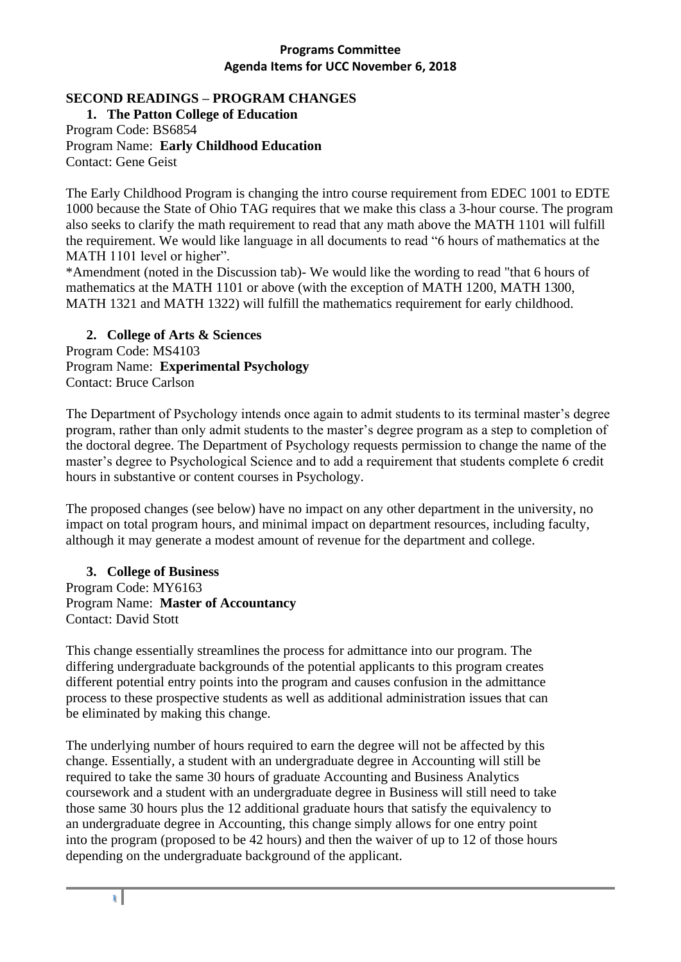## **SECOND READINGS – PROGRAM CHANGES**

**1. The Patton College of Education** Program Code: BS6854 Program Name: **Early Childhood Education** Contact: Gene Geist

The Early Childhood Program is changing the intro course requirement from EDEC 1001 to EDTE 1000 because the State of Ohio TAG requires that we make this class a 3-hour course. The program also seeks to clarify the math requirement to read that any math above the MATH 1101 will fulfill the requirement. We would like language in all documents to read "6 hours of mathematics at the MATH 1101 level or higher".

\*Amendment (noted in the Discussion tab)- We would like the wording to read "that 6 hours of mathematics at the MATH 1101 or above (with the exception of MATH 1200, MATH 1300, MATH 1321 and MATH 1322) will fulfill the mathematics requirement for early childhood.

**2. College of Arts & Sciences**  Program Code: MS4103 Program Name: **Experimental Psychology** Contact: Bruce Carlson

The Department of Psychology intends once again to admit students to its terminal master's degree program, rather than only admit students to the master's degree program as a step to completion of the doctoral degree. The Department of Psychology requests permission to change the name of the master's degree to Psychological Science and to add a requirement that students complete 6 credit hours in substantive or content courses in Psychology.

The proposed changes (see below) have no impact on any other department in the university, no impact on total program hours, and minimal impact on department resources, including faculty, although it may generate a modest amount of revenue for the department and college.

**3. College of Business** Program Code: MY6163 Program Name: **Master of Accountancy** Contact: David Stott

This change essentially streamlines the process for admittance into our program. The differing undergraduate backgrounds of the potential applicants to this program creates different potential entry points into the program and causes confusion in the admittance process to these prospective students as well as additional administration issues that can be eliminated by making this change.

The underlying number of hours required to earn the degree will not be affected by this change. Essentially, a student with an undergraduate degree in Accounting will still be required to take the same 30 hours of graduate Accounting and Business Analytics coursework and a student with an undergraduate degree in Business will still need to take those same 30 hours plus the 12 additional graduate hours that satisfy the equivalency to an undergraduate degree in Accounting, this change simply allows for one entry point into the program (proposed to be 42 hours) and then the waiver of up to 12 of those hours depending on the undergraduate background of the applicant.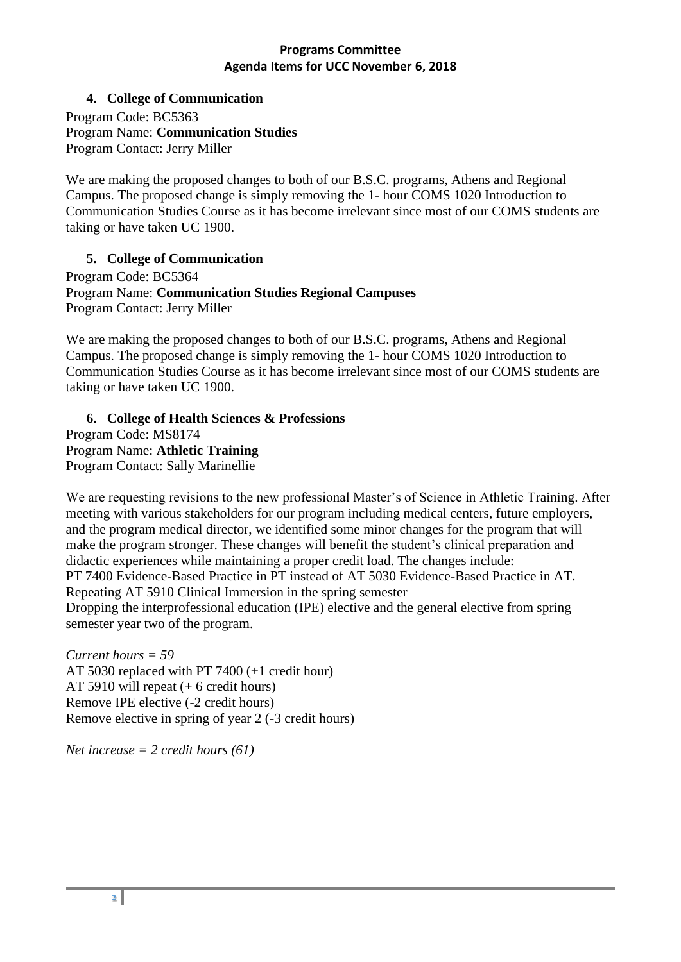## **4. College of Communication**

Program Code: BC5363 Program Name: **Communication Studies**  Program Contact: Jerry Miller

We are making the proposed changes to both of our B.S.C. programs, Athens and Regional Campus. The proposed change is simply removing the 1- hour COMS 1020 Introduction to Communication Studies Course as it has become irrelevant since most of our COMS students are taking or have taken UC 1900.

## **5. College of Communication**

Program Code: BC5364 Program Name: **Communication Studies Regional Campuses** Program Contact: Jerry Miller

We are making the proposed changes to both of our B.S.C. programs, Athens and Regional Campus. The proposed change is simply removing the 1- hour COMS 1020 Introduction to Communication Studies Course as it has become irrelevant since most of our COMS students are taking or have taken UC 1900.

**6. College of Health Sciences & Professions** Program Code: MS8174 Program Name: **Athletic Training** Program Contact: Sally Marinellie

We are requesting revisions to the new professional Master's of Science in Athletic Training. After meeting with various stakeholders for our program including medical centers, future employers, and the program medical director, we identified some minor changes for the program that will make the program stronger. These changes will benefit the student's clinical preparation and didactic experiences while maintaining a proper credit load. The changes include: PT 7400 Evidence-Based Practice in PT instead of AT 5030 Evidence-Based Practice in AT. Repeating AT 5910 Clinical Immersion in the spring semester Dropping the interprofessional education (IPE) elective and the general elective from spring semester year two of the program.

*Current hours = 59*  AT 5030 replaced with PT 7400 (+1 credit hour) AT 5910 will repeat (+ 6 credit hours) Remove IPE elective (-2 credit hours) Remove elective in spring of year 2 (-3 credit hours)

*Net increase = 2 credit hours (61)*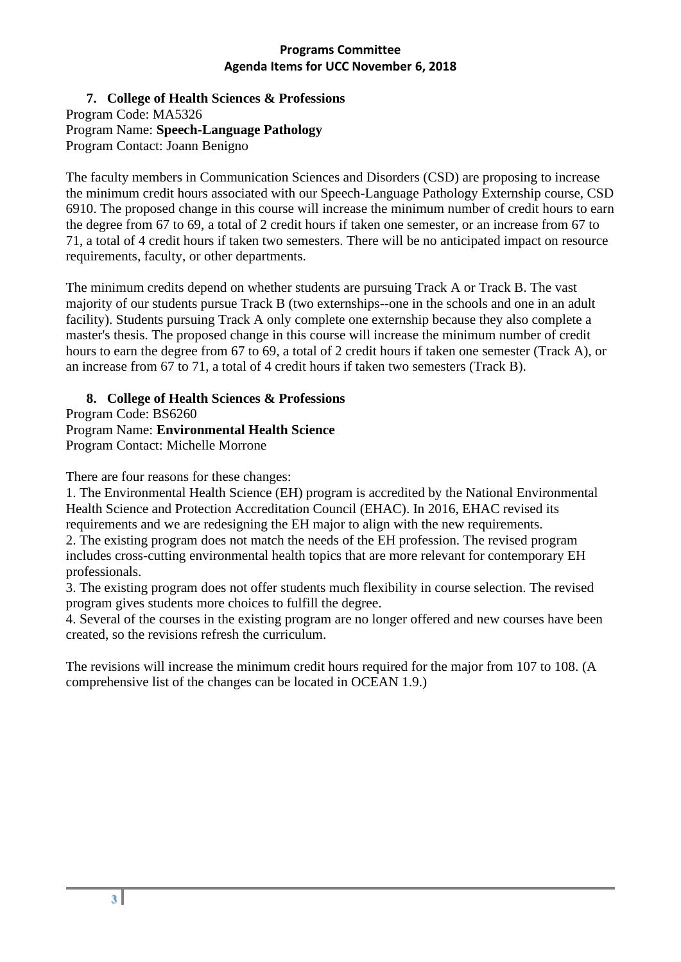**7. College of Health Sciences & Professions**  Program Code: MA5326 Program Name: **Speech-Language Pathology** Program Contact: Joann Benigno

The faculty members in Communication Sciences and Disorders (CSD) are proposing to increase the minimum credit hours associated with our Speech-Language Pathology Externship course, CSD 6910. The proposed change in this course will increase the minimum number of credit hours to earn the degree from 67 to 69, a total of 2 credit hours if taken one semester, or an increase from 67 to 71, a total of 4 credit hours if taken two semesters. There will be no anticipated impact on resource requirements, faculty, or other departments.

The minimum credits depend on whether students are pursuing Track A or Track B. The vast majority of our students pursue Track B (two externships--one in the schools and one in an adult facility). Students pursuing Track A only complete one externship because they also complete a master's thesis. The proposed change in this course will increase the minimum number of credit hours to earn the degree from 67 to 69, a total of 2 credit hours if taken one semester (Track A), or an increase from 67 to 71, a total of 4 credit hours if taken two semesters (Track B).

# **8. College of Health Sciences & Professions**

Program Code: BS6260 Program Name: **Environmental Health Science** Program Contact: Michelle Morrone

There are four reasons for these changes:

1. The Environmental Health Science (EH) program is accredited by the National Environmental Health Science and Protection Accreditation Council (EHAC). In 2016, EHAC revised its requirements and we are redesigning the EH major to align with the new requirements. 2. The existing program does not match the needs of the EH profession. The revised program includes cross-cutting environmental health topics that are more relevant for contemporary EH professionals.

3. The existing program does not offer students much flexibility in course selection. The revised program gives students more choices to fulfill the degree.

4. Several of the courses in the existing program are no longer offered and new courses have been created, so the revisions refresh the curriculum.

The revisions will increase the minimum credit hours required for the major from 107 to 108. (A comprehensive list of the changes can be located in OCEAN 1.9.)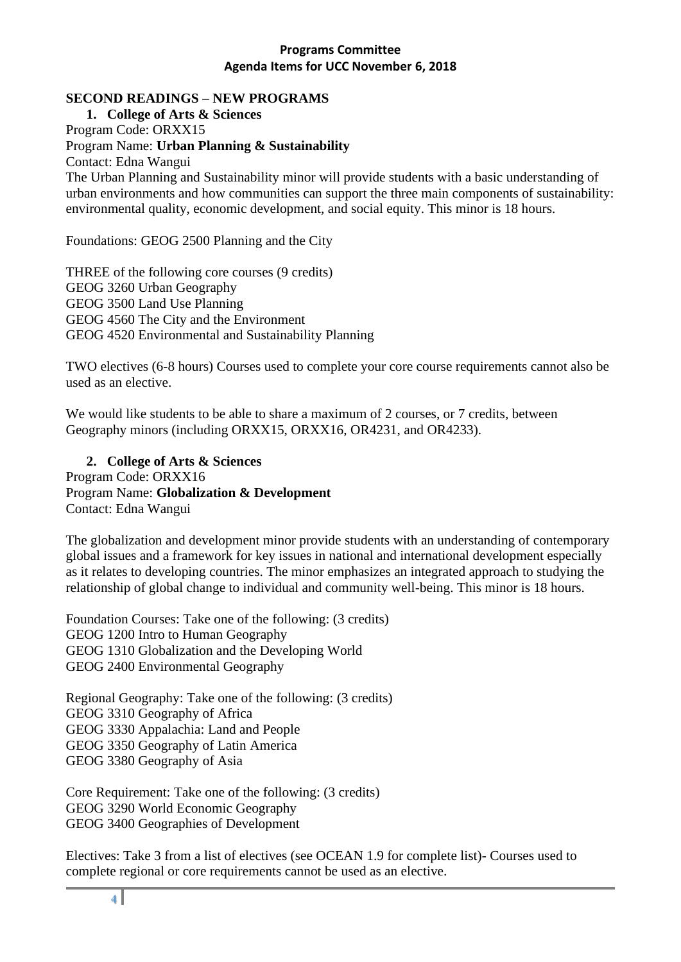#### **SECOND READINGS – NEW PROGRAMS**

**1. College of Arts & Sciences**  Program Code: ORXX15 Program Name: **Urban Planning & Sustainability** Contact: Edna Wangui The Urban Planning and Sustainability minor will provide students with a basic understanding of urban environments and how communities can support the three main components of sustainability: environmental quality, economic development, and social equity. This minor is 18 hours.

Foundations: GEOG 2500 Planning and the City

THREE of the following core courses (9 credits) GEOG 3260 Urban Geography GEOG 3500 Land Use Planning GEOG 4560 The City and the Environment GEOG 4520 Environmental and Sustainability Planning

TWO electives (6-8 hours) Courses used to complete your core course requirements cannot also be used as an elective.

We would like students to be able to share a maximum of 2 courses, or 7 credits, between Geography minors (including ORXX15, ORXX16, OR4231, and OR4233).

**2. College of Arts & Sciences**  Program Code: ORXX16 Program Name: **Globalization & Development** Contact: Edna Wangui

The globalization and development minor provide students with an understanding of contemporary global issues and a framework for key issues in national and international development especially as it relates to developing countries. The minor emphasizes an integrated approach to studying the relationship of global change to individual and community well-being. This minor is 18 hours.

Foundation Courses: Take one of the following: (3 credits) GEOG 1200 Intro to Human Geography GEOG 1310 Globalization and the Developing World GEOG 2400 Environmental Geography

Regional Geography: Take one of the following: (3 credits) GEOG 3310 Geography of Africa GEOG 3330 Appalachia: Land and People GEOG 3350 Geography of Latin America GEOG 3380 Geography of Asia

Core Requirement: Take one of the following: (3 credits) GEOG 3290 World Economic Geography GEOG 3400 Geographies of Development

Electives: Take 3 from a list of electives (see OCEAN 1.9 for complete list)- Courses used to complete regional or core requirements cannot be used as an elective.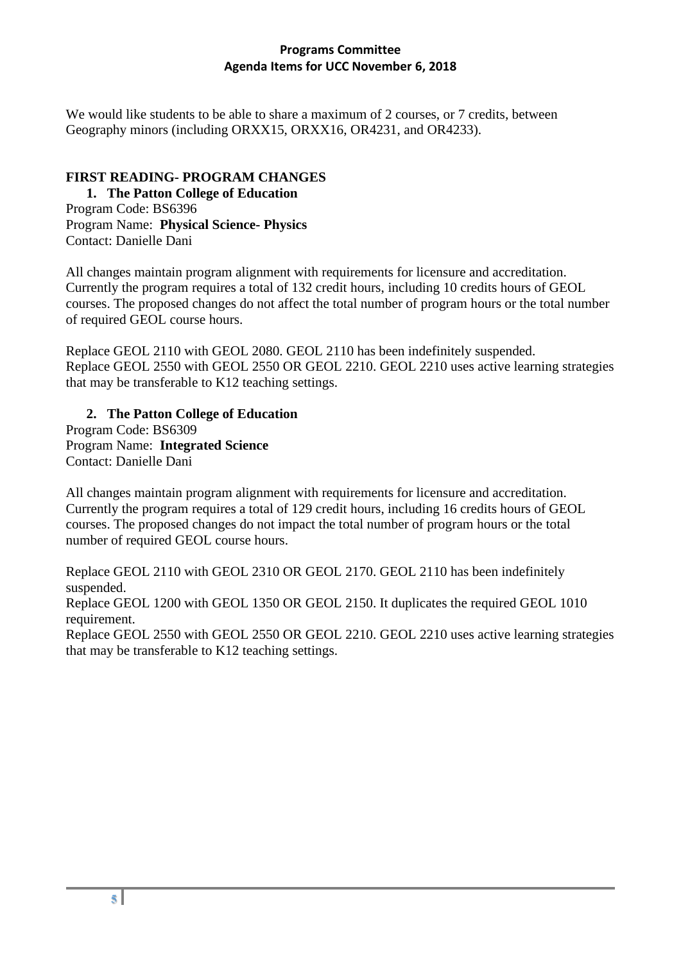We would like students to be able to share a maximum of 2 courses, or 7 credits, between Geography minors (including ORXX15, ORXX16, OR4231, and OR4233).

## **FIRST READING- PROGRAM CHANGES**

**1. The Patton College of Education**

Program Code: BS6396 Program Name: **Physical Science- Physics** Contact: Danielle Dani

All changes maintain program alignment with requirements for licensure and accreditation. Currently the program requires a total of 132 credit hours, including 10 credits hours of GEOL courses. The proposed changes do not affect the total number of program hours or the total number of required GEOL course hours.

Replace GEOL 2110 with GEOL 2080. GEOL 2110 has been indefinitely suspended. Replace GEOL 2550 with GEOL 2550 OR GEOL 2210. GEOL 2210 uses active learning strategies that may be transferable to K12 teaching settings.

#### **2. The Patton College of Education**

Program Code: BS6309 Program Name: **Integrated Science** Contact: Danielle Dani

All changes maintain program alignment with requirements for licensure and accreditation. Currently the program requires a total of 129 credit hours, including 16 credits hours of GEOL courses. The proposed changes do not impact the total number of program hours or the total number of required GEOL course hours.

Replace GEOL 2110 with GEOL 2310 OR GEOL 2170. GEOL 2110 has been indefinitely suspended.

Replace GEOL 1200 with GEOL 1350 OR GEOL 2150. It duplicates the required GEOL 1010 requirement.

Replace GEOL 2550 with GEOL 2550 OR GEOL 2210. GEOL 2210 uses active learning strategies that may be transferable to K12 teaching settings.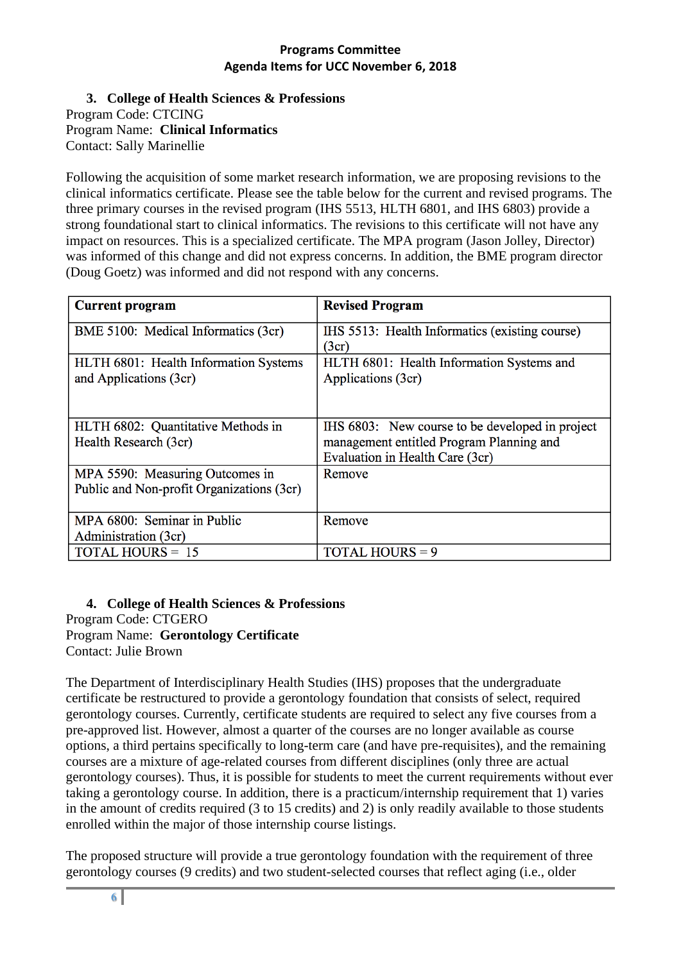**3. College of Health Sciences & Professions** Program Code: CTCING Program Name: **Clinical Informatics** Contact: Sally Marinellie

Following the acquisition of some market research information, we are proposing revisions to the clinical informatics certificate. Please see the table below for the current and revised programs. The three primary courses in the revised program (IHS 5513, HLTH 6801, and IHS 6803) provide a strong foundational start to clinical informatics. The revisions to this certificate will not have any impact on resources. This is a specialized certificate. The MPA program (Jason Jolley, Director) was informed of this change and did not express concerns. In addition, the BME program director (Doug Goetz) was informed and did not respond with any concerns.

| <b>Current program</b>                                                       | <b>Revised Program</b>                                                                                                         |
|------------------------------------------------------------------------------|--------------------------------------------------------------------------------------------------------------------------------|
| BME 5100: Medical Informatics (3cr)                                          | IHS 5513: Health Informatics (existing course)<br>(3cr)                                                                        |
| HLTH 6801: Health Information Systems<br>and Applications (3cr)              | HLTH 6801: Health Information Systems and<br>Applications (3cr)                                                                |
| HLTH 6802: Quantitative Methods in<br>Health Research (3cr)                  | IHS 6803: New course to be developed in project<br>management entitled Program Planning and<br>Evaluation in Health Care (3cr) |
| MPA 5590: Measuring Outcomes in<br>Public and Non-profit Organizations (3cr) | Remove                                                                                                                         |
| MPA 6800: Seminar in Public<br>Administration (3cr)                          | Remove                                                                                                                         |
| <b>TOTAL HOURS = 15</b>                                                      | <b>TOTAL HOURS = 9</b>                                                                                                         |

**4. College of Health Sciences & Professions** Program Code: CTGERO Program Name: **Gerontology Certificate** Contact: Julie Brown

The Department of Interdisciplinary Health Studies (IHS) proposes that the undergraduate certificate be restructured to provide a gerontology foundation that consists of select, required gerontology courses. Currently, certificate students are required to select any five courses from a pre-approved list. However, almost a quarter of the courses are no longer available as course options, a third pertains specifically to long-term care (and have pre-requisites), and the remaining courses are a mixture of age-related courses from different disciplines (only three are actual gerontology courses). Thus, it is possible for students to meet the current requirements without ever taking a gerontology course. In addition, there is a practicum/internship requirement that 1) varies in the amount of credits required (3 to 15 credits) and 2) is only readily available to those students enrolled within the major of those internship course listings.

The proposed structure will provide a true gerontology foundation with the requirement of three gerontology courses (9 credits) and two student-selected courses that reflect aging (i.e., older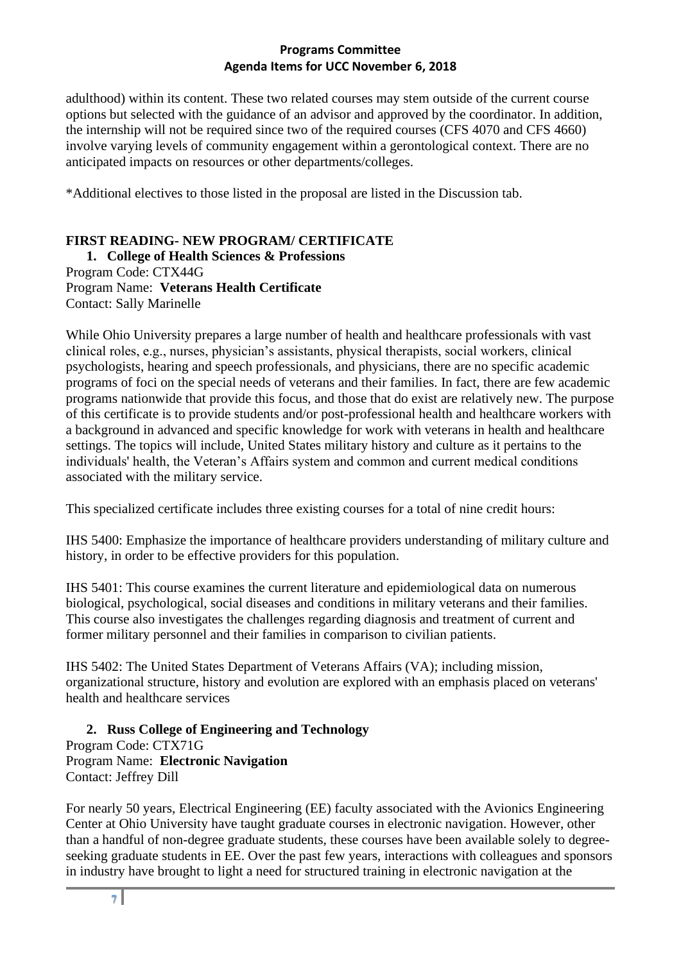adulthood) within its content. These two related courses may stem outside of the current course options but selected with the guidance of an advisor and approved by the coordinator. In addition, the internship will not be required since two of the required courses (CFS 4070 and CFS 4660) involve varying levels of community engagement within a gerontological context. There are no anticipated impacts on resources or other departments/colleges.

\*Additional electives to those listed in the proposal are listed in the Discussion tab.

# **FIRST READING- NEW PROGRAM/ CERTIFICATE**

**1. College of Health Sciences & Professions** Program Code: CTX44G Program Name: **Veterans Health Certificate** Contact: Sally Marinelle

While Ohio University prepares a large number of health and healthcare professionals with vast clinical roles, e.g., nurses, physician's assistants, physical therapists, social workers, clinical psychologists, hearing and speech professionals, and physicians, there are no specific academic programs of foci on the special needs of veterans and their families. In fact, there are few academic programs nationwide that provide this focus, and those that do exist are relatively new. The purpose of this certificate is to provide students and/or post-professional health and healthcare workers with a background in advanced and specific knowledge for work with veterans in health and healthcare settings. The topics will include, United States military history and culture as it pertains to the individuals' health, the Veteran's Affairs system and common and current medical conditions associated with the military service.

This specialized certificate includes three existing courses for a total of nine credit hours:

IHS 5400: Emphasize the importance of healthcare providers understanding of military culture and history, in order to be effective providers for this population.

IHS 5401: This course examines the current literature and epidemiological data on numerous biological, psychological, social diseases and conditions in military veterans and their families. This course also investigates the challenges regarding diagnosis and treatment of current and former military personnel and their families in comparison to civilian patients.

IHS 5402: The United States Department of Veterans Affairs (VA); including mission, organizational structure, history and evolution are explored with an emphasis placed on veterans' health and healthcare services

## **2. Russ College of Engineering and Technology**

Program Code: CTX71G Program Name: **Electronic Navigation** Contact: Jeffrey Dill

For nearly 50 years, Electrical Engineering (EE) faculty associated with the Avionics Engineering Center at Ohio University have taught graduate courses in electronic navigation. However, other than a handful of non-degree graduate students, these courses have been available solely to degreeseeking graduate students in EE. Over the past few years, interactions with colleagues and sponsors in industry have brought to light a need for structured training in electronic navigation at the